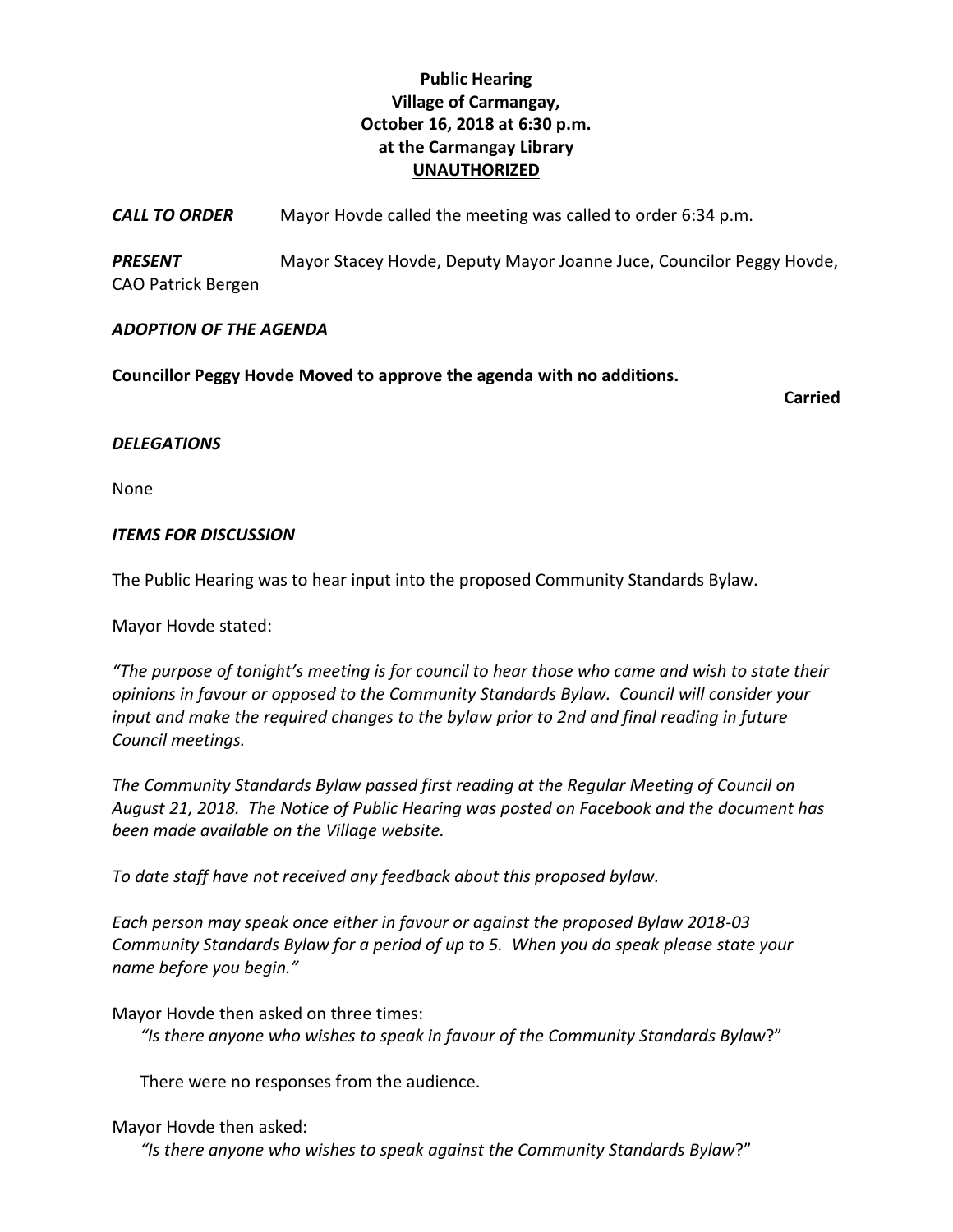## **Public Hearing Village of Carmangay, October 16, 2018 at 6:30 p.m. at the Carmangay Library UNAUTHORIZED**

*CALL TO ORDER* Mayor Hovde called the meeting was called to order 6:34 p.m.

*PRESENT* Mayor Stacey Hovde, Deputy Mayor Joanne Juce, Councilor Peggy Hovde, CAO Patrick Bergen

## *ADOPTION OF THE AGENDA*

**Councillor Peggy Hovde Moved to approve the agenda with no additions.**

**Carried**

## *DELEGATIONS*

None

## *ITEMS FOR DISCUSSION*

The Public Hearing was to hear input into the proposed Community Standards Bylaw.

Mayor Hovde stated:

*"The purpose of tonight's meeting is for council to hear those who came and wish to state their opinions in favour or opposed to the Community Standards Bylaw. Council will consider your input and make the required changes to the bylaw prior to 2nd and final reading in future Council meetings.*

*The Community Standards Bylaw passed first reading at the Regular Meeting of Council on August 21, 2018. The Notice of Public Hearing was posted on Facebook and the document has been made available on the Village website.* 

*To date staff have not received any feedback about this proposed bylaw.* 

*Each person may speak once either in favour or against the proposed Bylaw 2018-03 Community Standards Bylaw for a period of up to 5. When you do speak please state your name before you begin."*

Mayor Hovde then asked on three times:

*"Is there anyone who wishes to speak in favour of the Community Standards Bylaw*?"

There were no responses from the audience.

Mayor Hovde then asked:

*"Is there anyone who wishes to speak against the Community Standards Bylaw*?"